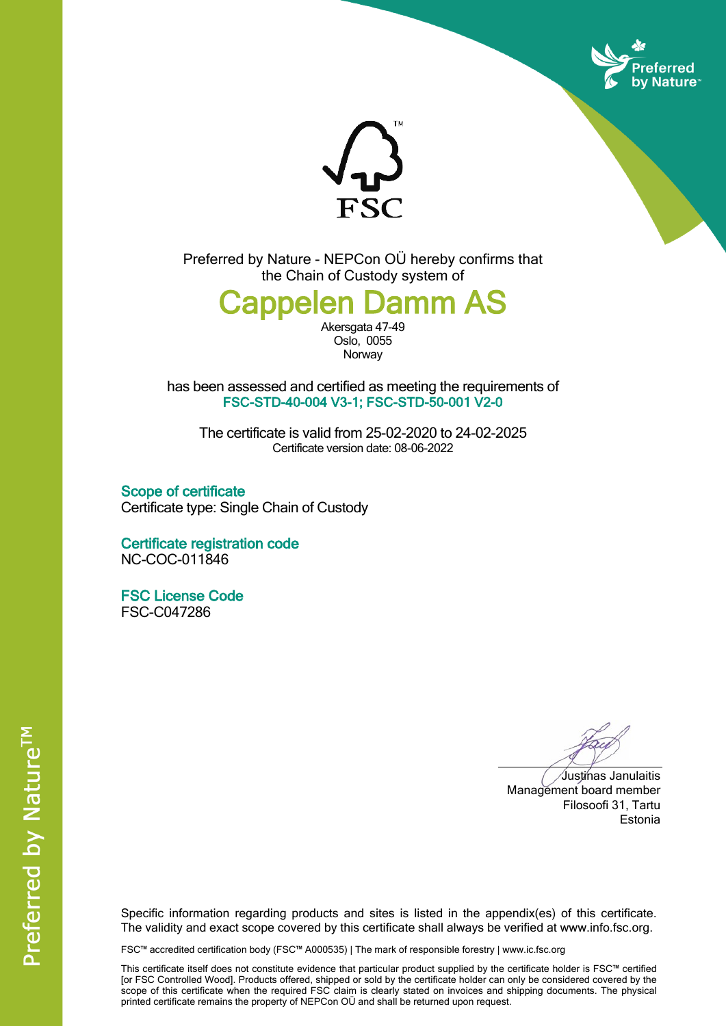



Preferred by Nature - NEPCon OÜ hereby confirms that the Chain of Custody system of

**Ien Damm AS** 

Akersgata 47-49 Oslo, 0055 **Norway** 

has been assessed and certified as meeting the requirements of **FSC-STD-40-004 V3-1; FSC-STD-50-001 V2-0**

The certificate is valid from 25-02-2020 to 24-02-2025 Certificate version date: 08-06-2022

**Scope of certificate** Certificate type: Single Chain of Custody

**Certificate registration code** NC-COC-011846

**FSC License Code** FSC-C047286

Justinas Janulaitis Management board member Filosoofi 31, Tartu Estonia

Specific information regarding products and sites is listed in the appendix(es) of this certificate. The validity and exact scope covered by this certificate shall always be verified at www.info.fsc.org.

FSC™ accredited certification body (FSC™ A000535) | The mark of responsible forestry | www.ic.fsc.org

This certificate itself does not constitute evidence that particular product supplied by the certificate holder is FSC™ certified [or FSC Controlled Wood]. Products offered, shipped or sold by the certificate holder can only be considered covered by the scope of this certificate when the required FSC claim is clearly stated on invoices and shipping documents. The physical printed certificate remains the property of NEPCon OÜ and shall be returned upon request.